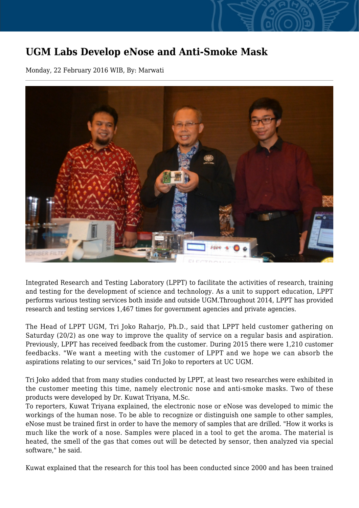## **UGM Labs Develop eNose and Anti-Smoke Mask**

Monday, 22 February 2016 WIB, By: Marwati



Integrated Research and Testing Laboratory (LPPT) to facilitate the activities of research, training and testing for the development of science and technology. As a unit to support education, LPPT performs various testing services both inside and outside UGM.Throughout 2014, LPPT has provided research and testing services 1,467 times for government agencies and private agencies.

The Head of LPPT UGM, Tri Joko Raharjo, Ph.D., said that LPPT held customer gathering on Saturday (20/2) as one way to improve the quality of service on a regular basis and aspiration. Previously, LPPT has received feedback from the customer. During 2015 there were 1,210 customer feedbacks. "We want a meeting with the customer of LPPT and we hope we can absorb the aspirations relating to our services," said Tri Joko to reporters at UC UGM.

Tri Joko added that from many studies conducted by LPPT, at least two researches were exhibited in the customer meeting this time, namely electronic nose and anti-smoke masks. Two of these products were developed by Dr. Kuwat Triyana, M.Sc.

To reporters, Kuwat Triyana explained, the electronic nose or eNose was developed to mimic the workings of the human nose. To be able to recognize or distinguish one sample to other samples, eNose must be trained first in order to have the memory of samples that are drilled. "How it works is much like the work of a nose. Samples were placed in a tool to get the aroma. The material is heated, the smell of the gas that comes out will be detected by sensor, then analyzed via special software," he said.

Kuwat explained that the research for this tool has been conducted since 2000 and has been trained